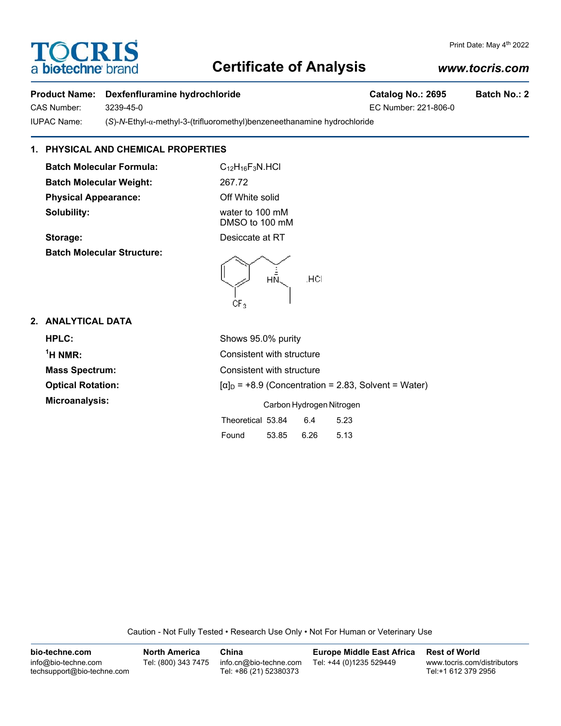# **Certificate of Analysis**

## *www.tocris.com*

### Product Name: Dexfenfluramine hydrochloride **Catalog No.: 2695** Batch No.: 2

CAS Number: 3239-45-0 EC Number: 221-806-0 IUPAC Name: (*S*)-*N*-Ethyl-α-methyl-3-(trifluoromethyl)benzeneethanamine hydrochloride

## **1. PHYSICAL AND CHEMICAL PROPERTIES**

**Batch Molecular Formula:** C<sub>12</sub>H<sub>16</sub>F<sub>3</sub>N.HCl **Batch Molecular Weight:** 267.72 **Physical Appearance:** Off White solid **Solubility:** water to 100 mM

**TOCRIS** 

a biotechne b

DMSO to 100 mM **Storage:** Desiccate at RT

**Batch Molecular Structure:**



## **2. ANALYTICAL DATA**

| HPLC:                    | Shows 95.0% purity                                          |  |  |  |  |
|--------------------------|-------------------------------------------------------------|--|--|--|--|
| $1H NMR$ :               | Consistent with structure                                   |  |  |  |  |
| <b>Mass Spectrum:</b>    | Consistent with structure                                   |  |  |  |  |
| <b>Optical Rotation:</b> | $[\alpha]_D$ = +8.9 (Concentration = 2.83, Solvent = Water) |  |  |  |  |
| Microanalysis:           | Carbon Hydrogen Nitrogen                                    |  |  |  |  |
|                          | Theoretical 53.84<br>6.4<br>5.23                            |  |  |  |  |
|                          | 6.26<br>5.13<br>Found<br>53.85                              |  |  |  |  |

Caution - Not Fully Tested • Research Use Only • Not For Human or Veterinary Use

| bio-techne.com                                    | North America       | China                                            | <b>Europe Middle East Africa</b> | <b>Rest of World</b>                               |
|---------------------------------------------------|---------------------|--------------------------------------------------|----------------------------------|----------------------------------------------------|
| info@bio-techne.com<br>techsupport@bio-techne.com | Tel: (800) 343 7475 | info.cn@bio-techne.com<br>Tel: +86 (21) 52380373 | Tel: +44 (0)1235 529449          | www.tocris.com/distributors<br>Tel:+1 612 379 2956 |